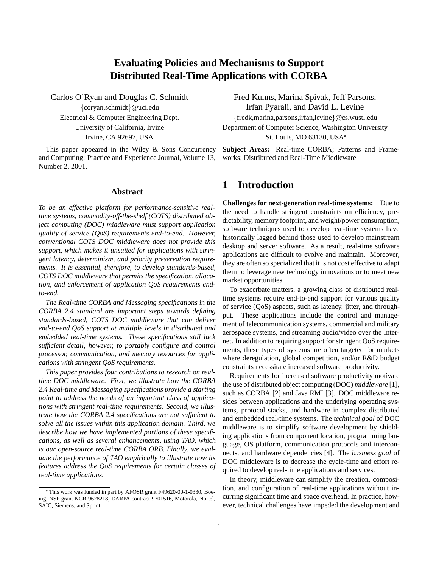# **Evaluating Policies and Mechanisms to Support Distributed Real-Time Applications with CORBA**

This paper appeared in the Wiley & Sons Concurrency and Computing: Practice and Experience Journal, Volume 13, Number 2, 2001.

#### **Abstract**

*To be an effective platform for performance-sensitive realtime systems, commodity-off-the-shelf (COTS) distributed object computing (DOC) middleware must support application quality of service (QoS) requirements end-to-end. However, conventional COTS DOC middleware does not provide this support, which makes it unsuited for applications with stringent latency, determinism, and priority preservation requirements. It is essential, therefore, to develop standards-based, COTS DOC middleware that permits the specification, allocation, and enforcement of application QoS requirements endto-end.*

*The Real-time CORBA and Messaging specifications in the CORBA 2.4 standard are important steps towards defining standards-based, COTS DOC middleware that can deliver end-to-end QoS support at multiple levels in distributed and embedded real-time systems. These specifications still lack sufficient detail, however, to portably configure and control processor, communication, and memory resources for applications with stringent QoS requirements.*

*This paper provides four contributions to research on realtime DOC middleware. First, we illustrate how the CORBA 2.4 Real-time and Messaging specifications provide a starting point to address the needs of an important class of applications with stringent real-time requirements. Second, we illustrate how the CORBA 2.4 specifications are not sufficient to solve all the issues within this application domain. Third, we describe how we have implemented portions of these specifications, as well as several enhancements, using TAO, which is our open-source real-time CORBA ORB. Finally, we evaluate the performance of TAO empirically to illustrate how its features address the QoS requirements for certain classes of real-time applications.*

Carlos O'Ryan and Douglas C. Schmidt Fred Kuhns, Marina Spivak, Jeff Parsons, fcoryan,schmidtg@uci.edu Irfan Pyarali, and David L. Levine Electrical & Computer Engineering Dept.  ${fredk, marina, parsons, irfan, levine}$  @cs.wustl.edu University of California, Irvine Department of Computer Science, Washington University Irvine, CA 92697, USA St. Louis, MO 63130, USA\*

> **Subject Areas:** Real-time CORBA; Patterns and Frameworks; Distributed and Real-Time Middleware

## **1 Introduction**

**Challenges for next-generation real-time systems:** Due to the need to handle stringent constraints on efficiency, predictability, memory footprint, and weight/power consumption, software techniques used to develop real-time systems have historically lagged behind those used to develop mainstream desktop and server software. As a result, real-time software applications are difficult to evolve and maintain. Moreover, they are often so specialized that it is not cost effective to adapt them to leverage new technology innovations or to meet new market opportunities.

To exacerbate matters, a growing class of distributed realtime systems require end-to-end support for various quality of service (QoS) aspects, such as latency, jitter, and throughput. These applications include the control and management of telecommunication systems, commercial and military aerospace systems, and streaming audio/video over the Internet. In addition to requiring support for stringent QoS requirements, these types of systems are often targeted for markets where deregulation, global competition, and/or R&D budget constraints necessitate increased software productivity.

Requirements for increased software productivity motivate the use of distributed object computing (DOC) *middleware* [1], such as CORBA [2] and Java RMI [3]. DOC middleware resides between applications and the underlying operating systems, protocol stacks, and hardware in complex distributed and embedded real-time systems. The *technical goal* of DOC middleware is to simplify software development by shielding applications from component location, programming language, OS platform, communication protocols and interconnects, and hardware dependencies [4]. The *business goal* of DOC middleware is to decrease the cycle-time and effort required to develop real-time applications and services.

In theory, middleware can simplify the creation, composition, and configuration of real-time applications without incurring significant time and space overhead. In practice, however, technical challenges have impeded the development and

This work was funded in part by AFOSR grant F49620-00-1-0330, Boeing, NSF grant NCR-9628218, DARPA contract 9701516, Motorola, Nortel, SAIC, Siemens, and Sprint.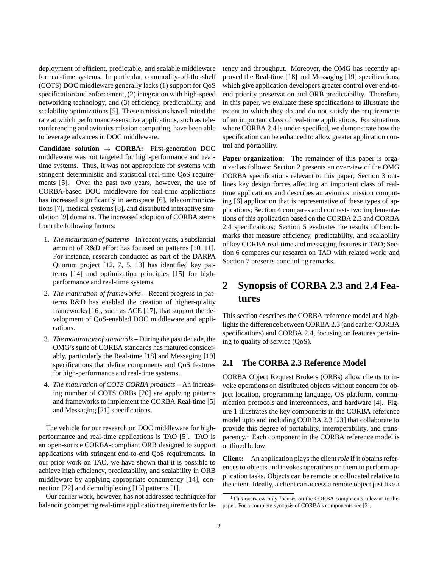deployment of efficient, predictable, and scalable middleware for real-time systems. In particular, commodity-off-the-shelf (COTS) DOC middleware generally lacks (1) support for QoS specification and enforcement, (2) integration with high-speed networking technology, and (3) efficiency, predictability, and scalability optimizations [5]. These omissions have limited the rate at which performance-sensitive applications, such as teleconferencing and avionics mission computing, have been able to leverage advances in DOC middleware.

**Candidate solution**  $\rightarrow$  **CORBA:** First-generation DOC middleware was not targeted for high-performance and realtime systems. Thus, it was not appropriate for systems with stringent deterministic and statistical real-time QoS requirements [5]. Over the past two years, however, the use of CORBA-based DOC middleware for real-time applications has increased significantly in aerospace [6], telecommunications [7], medical systems [8], and distributed interactive simulation [9] domains. The increased adoption of CORBA stems from the following factors:

- 1. *The maturation of patterns* In recent years, a substantial amount of R&D effort has focused on patterns [10, 11]. For instance, research conducted as part of the DARPA Quorum project [12, 7, 5, 13] has identified key patterns [14] and optimization principles [15] for highperformance and real-time systems.
- 2. *The maturation of frameworks* Recent progress in patterns R&D has enabled the creation of higher-quality frameworks [16], such as ACE [17], that support the development of QoS-enabled DOC middleware and applications.
- 3. *The maturation of standards* During the past decade, the OMG's suite of CORBA standards has matured considerably, particularly the Real-time [18] and Messaging [19] specifications that define components and QoS features for high-performance and real-time systems.
- 4. *The maturation of COTS CORBA products* An increasing number of COTS ORBs [20] are applying patterns and frameworks to implement the CORBA Real-time [5] and Messaging [21] specifications.

The vehicle for our research on DOC middleware for highperformance and real-time applications is TAO [5]. TAO is an open-source CORBA-compliant ORB designed to support applications with stringent end-to-end QoS requirements. In our prior work on TAO, we have shown that it is possible to achieve high efficiency, predictability, and scalability in ORB middleware by applying appropriate concurrency [14], connection [22] and demultiplexing [15] patterns [1].

Our earlier work, however, has not addressed techniques for balancing competing real-time application requirements for latency and throughput. Moreover, the OMG has recently approved the Real-time [18] and Messaging [19] specifications, which give application developers greater control over end-toend priority preservation and ORB predictability. Therefore, in this paper, we evaluate these specifications to illustrate the extent to which they do and do not satisfy the requirements of an important class of real-time applications. For situations where CORBA 2.4 is under-specified, we demonstrate how the specification can be enhanced to allow greater application control and portability.

**Paper organization:** The remainder of this paper is organized as follows: Section 2 presents an overview of the OMG CORBA specifications relevant to this paper; Section 3 outlines key design forces affecting an important class of realtime applications and describes an avionics mission computing [6] application that is representative of these types of applications; Section 4 compares and contrasts two implementations of this application based on the CORBA 2.3 and CORBA 2.4 specifications; Section 5 evaluates the results of benchmarks that measure efficiency, predictability, and scalability of key CORBA real-time and messaging features in TAO; Section 6 compares our research on TAO with related work; and Section 7 presents concluding remarks.

# **2 Synopsis of CORBA 2.3 and 2.4 Features**

This section describes the CORBA reference model and highlights the difference between CORBA 2.3 (and earlier CORBA specifications) and CORBA 2.4, focusing on features pertaining to quality of service (QoS).

## **2.1 The CORBA 2.3 Reference Model**

CORBA Object Request Brokers (ORBs) allow clients to invoke operations on distributed objects without concern for object location, programming language, OS platform, communication protocols and interconnects, and hardware [4]. Figure 1 illustrates the key components in the CORBA reference model upto and including CORBA 2.3 [23] that collaborate to provide this degree of portability, interoperability, and transparency.<sup>1</sup> Each component in the CORBA reference model is outlined below:

**Client:** An application plays the client*role* if it obtains references to objects and invokes operations on them to perform application tasks. Objects can be remote or collocated relative to the client. Ideally, a client can access a remote object just like a

<sup>&</sup>lt;sup>1</sup>This overview only focuses on the CORBA components relevant to this paper. For a complete synopsis of CORBA's components see [2].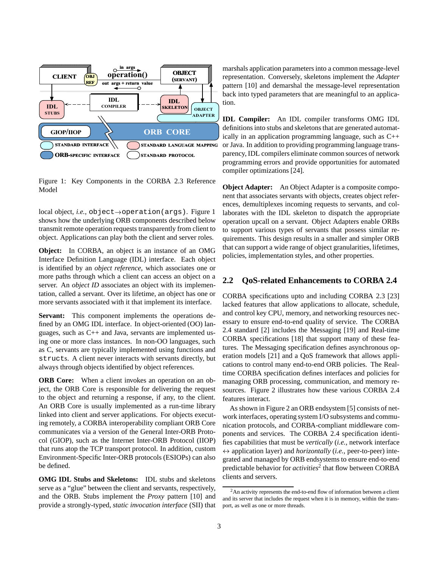

Figure 1: Key Components in the CORBA 2.3 Reference Model

local object, *i.e.*, object→operation(args). Figure 1 shows how the underlying ORB components described below transmit remote operation requests transparently from client to object. Applications can play both the client and server roles.

**Object:** In CORBA, an object is an instance of an OMG Interface Definition Language (IDL) interface. Each object is identified by an *object reference*, which associates one or more paths through which a client can access an object on a server. An *object ID* associates an object with its implementation, called a servant. Over its lifetime, an object has one or more servants associated with it that implement its interface.

**Servant:** This component implements the operations defined by an OMG IDL interface. In object-oriented (OO) languages, such as C++ and Java, servants are implemented using one or more class instances. In non-OO languages, such as C, servants are typically implemented using functions and structs. A client never interacts with servants directly, but always through objects identified by object references.

**ORB Core:** When a client invokes an operation on an object, the ORB Core is responsible for delivering the request to the object and returning a response, if any, to the client. An ORB Core is usually implemented as a run-time library linked into client and server applications. For objects executing remotely, a CORBA interoperability compliant ORB Core communicates via a version of the General Inter-ORB Protocol (GIOP), such as the Internet Inter-ORB Protocol (IIOP) that runs atop the TCP transport protocol. In addition, custom Environment-Specific Inter-ORB protocols (ESIOPs) can also be defined.

**OMG IDL Stubs and Skeletons:** IDL stubs and skeletons serve as a "glue" between the client and servants, respectively, and the ORB. Stubs implement the *Proxy* pattern [10] and provide a strongly-typed, *static invocation interface* (SII) that marshals application parameters into a common message-level representation. Conversely, skeletons implement the *Adapter* pattern [10] and demarshal the message-level representation back into typed parameters that are meaningful to an application.

**IDL Compiler:** An IDL compiler transforms OMG IDL definitions into stubs and skeletons that are generated automatically in an application programming language, such as C++ or Java. In addition to providing programming language transparency, IDL compilers eliminate common sources of network programming errors and provide opportunities for automated compiler optimizations [24].

**Object Adapter:** An Object Adapter is a composite component that associates servants with objects, creates object references, demultiplexes incoming requests to servants, and collaborates with the IDL skeleton to dispatch the appropriate operation upcall on a servant. Object Adapters enable ORBs to support various types of servants that possess similar requirements. This design results in a smaller and simpler ORB that can support a wide range of object granularities, lifetimes, policies, implementation styles, and other properties.

## **2.2 QoS-related Enhancements to CORBA 2.4**

CORBA specifications upto and including CORBA 2.3 [23] lacked features that allow applications to allocate, schedule, and control key CPU, memory, and networking resources necessary to ensure end-to-end quality of service. The CORBA 2.4 standard [2] includes the Messaging [19] and Real-time CORBA specifications [18] that support many of these features. The Messaging specification defines asynchronous operation models [21] and a QoS framework that allows applications to control many end-to-end ORB policies. The Realtime CORBA specification defines interfaces and policies for managing ORB processing, communication, and memory resources. Figure 2 illustrates how these various CORBA 2.4 features interact.

As shown in Figure 2 an ORB endsystem [5] consists of network interfaces, operating system I/O subsystems and communication protocols, and CORBA-compliant middleware components and services. The CORBA 2.4 specification identifies capabilities that must be *vertically* (*i.e.*, network interface  $\leftrightarrow$  application layer) and *horizontally* (*i.e.*, peer-to-peer) integrated and managed by ORB endsystems to ensure end-to-end predictable behavior for *activities*<sup>2</sup> that flow between CORBA clients and servers.

<sup>&</sup>lt;sup>2</sup>An activity represents the end-to-end flow of information between a client and its server that includes the request when it is in memory, within the transport, as well as one or more threads.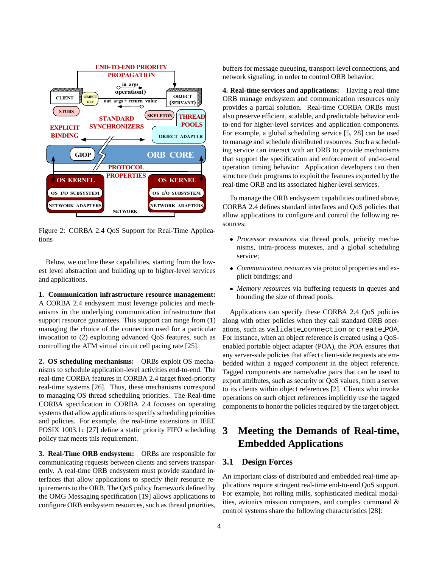

Figure 2: CORBA 2.4 QoS Support for Real-Time Applications

Below, we outline these capabilities, starting from the lowest level abstraction and building up to higher-level services and applications.

**1. Communication infrastructure resource management:** A CORBA 2.4 endsystem must leverage policies and mechanisms in the underlying communication infrastructure that support resource guarantees. This support can range from  $(1)$ managing the choice of the connection used for a particular invocation to (2) exploiting advanced QoS features, such as controlling the ATM virtual circuit cell pacing rate [25].

**2. OS scheduling mechanisms:** ORBs exploit OS mechanisms to schedule application-level activities end-to-end. The real-time CORBA features in CORBA 2.4 target fixed-priority real-time systems [26]. Thus, these mechanisms correspond to managing OS thread scheduling priorities. The Real-time CORBA specification in CORBA 2.4 focuses on operating systems that allow applications to specify scheduling priorities and policies. For example, the real-time extensions in IEEE POSIX 1003.1c [27] define a static priority FIFO scheduling policy that meets this requirement.

**3. Real-Time ORB endsystem:** ORBs are responsible for communicating requests between clients and servers transparently. A real-time ORB endsystem must provide standard interfaces that allow applications to specify their resource requirements to the ORB. The QoS policy framework defined by the OMG Messaging specification [19] allows applications to configure ORB endsystem resources, such as thread priorities,

buffers for message queueing, transport-level connections, and network signaling, in order to control ORB behavior.

**4. Real-time services and applications:** Having a real-time ORB manage endsystem and communication resources only provides a partial solution. Real-time CORBA ORBs must also preserve efficient, scalable, and predictable behavior endto-end for higher-level services and application components. For example, a global scheduling service [5, 28] can be used to manage and schedule distributed resources. Such a scheduling service can interact with an ORB to provide mechanisms that support the specification and enforcement of end-to-end operation timing behavior. Application developers can then structure their programs to exploit the features exported by the real-time ORB and its associated higher-level services.

To manage the ORB endsystem capabilities outlined above, CORBA 2.4 defines standard interfaces and QoS policies that allow applications to configure and control the following resources:

- *Processor resources* via thread pools, priority mechanisms, intra-process mutexes, and a global scheduling service;
- *Communication resources* via protocol properties and explicit bindings; and
- *Memory resources* via buffering requests in queues and bounding the size of thread pools.

Applications can specify these CORBA 2.4 QoS policies along with other policies when they call standard ORB operations, such as validate connection or create POA. For instance, when an object reference is created using a QoSenabled portable object adapter (POA), the POA ensures that any server-side policies that affect client-side requests are embedded within a *tagged component* in the object reference. Tagged components are name/value pairs that can be used to export attributes, such as security or QoS values, from a server to its clients within object references [2]. Clients who invoke operations on such object references implicitly use the tagged components to honor the policies required by the target object.

# **3 Meeting the Demands of Real-time, Embedded Applications**

## **3.1 Design Forces**

An important class of distributed and embedded real-time applications require stringent real-time end-to-end QoS support. For example, hot rolling mills, sophisticated medical modalities, avionics mission computers, and complex command & control systems share the following characteristics [28]: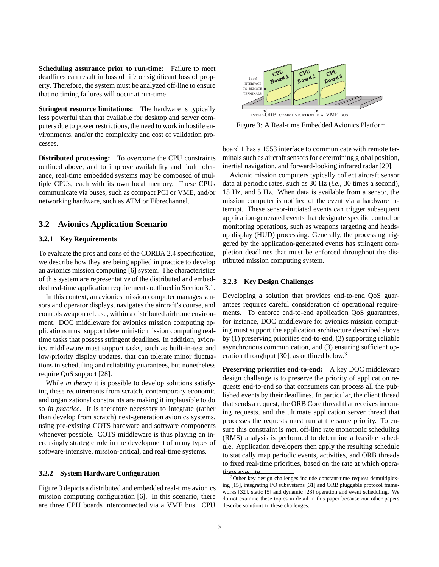**Scheduling assurance prior to run-time:** Failure to meet deadlines can result in loss of life or significant loss of property. Therefore, the system must be analyzed off-line to ensure that no timing failures will occur at run-time.

**Stringent resource limitations:** The hardware is typically less powerful than that available for desktop and server computers due to power restrictions, the need to work in hostile environments, and/or the complexity and cost of validation processes.

**Distributed processing:** To overcome the CPU constraints outlined above, and to improve availability and fault tolerance, real-time embedded systems may be composed of multiple CPUs, each with its own local memory. These CPUs communicate via buses, such as compact PCI or VME, and/or networking hardware, such as ATM or Fibrechannel.

## **3.2 Avionics Application Scenario**

#### **3.2.1 Key Requirements**

To evaluate the pros and cons of the CORBA 2.4 specification, we describe how they are being applied in practice to develop an avionics mission computing [6] system. The characteristics of this system are representative of the distributed and embedded real-time application requirements outlined in Section 3.1.

In this context, an avionics mission computer manages sensors and operator displays, navigates the aircraft's course, and controls weapon release, within a distributed airframe environment. DOC middleware for avionics mission computing applications must support deterministic mission computing realtime tasks that possess stringent deadlines. In addition, avionics middleware must support tasks, such as built-in-test and low-priority display updates, that can tolerate minor fluctuations in scheduling and reliability guarantees, but nonetheless require QoS support [28].

While *in theory* it is possible to develop solutions satisfying these requirements from scratch, contemporary economic and organizational constraints are making it implausible to do so *in practice*. It is therefore necessary to integrate (rather than develop from scratch) next-generation avionics systems, using pre-existing COTS hardware and software components whenever possible. COTS middleware is thus playing an increasingly strategic role in the development of many types of software-intensive, mission-critical, and real-time systems.

#### **3.2.2 System Hardware Configuration**

Figure 3 depicts a distributed and embedded real-time avionics mission computing configuration [6]. In this scenario, there are three CPU boards interconnected via a VME bus. CPU



Figure 3: A Real-time Embedded Avionics Platform

board 1 has a 1553 interface to communicate with remote terminals such as aircraft sensors for determining global position, inertial navigation, and forward-looking infrared radar [29].

Avionic mission computers typically collect aircraft sensor data at periodic rates, such as 30 Hz (*i.e.*, 30 times a second), 15 Hz, and 5 Hz. When data is available from a sensor, the mission computer is notified of the event via a hardware interrupt. These sensor-initiated events can trigger subsequent application-generated events that designate specific control or monitoring operations, such as weapons targeting and headsup display (HUD) processing. Generally, the processing triggered by the application-generated events has stringent completion deadlines that must be enforced throughout the distributed mission computing system.

#### **3.2.3 Key Design Challenges**

Developing a solution that provides end-to-end QoS guarantees requires careful consideration of operational requirements. To enforce end-to-end application QoS guarantees, for instance, DOC middleware for avionics mission computing must support the application architecture described above by (1) preserving priorities end-to-end, (2) supporting reliable asynchronous communication, and (3) ensuring sufficient operation throughput [30], as outlined below.<sup>3</sup>

**Preserving priorities end-to-end:** A key DOC middleware design challenge is to preserve the priority of application requests end-to-end so that consumers can process all the published events by their deadlines. In particular, the client thread that sends a request, the ORB Core thread that receives incoming requests, and the ultimate application server thread that processes the requests must run at the same priority. To ensure this constraint is met, off-line rate monotonic scheduling (RMS) analysis is performed to determine a feasible schedule. Application developers then apply the resulting schedule to statically map periodic events, activities, and ORB threads to fixed real-time priorities, based on the rate at which opera-

 $3$ Other key design challenges include constant-time request demultiplexing [15], integrating I/O subsystems [31] and ORB pluggable protocol frameworks [32], static [5] and dynamic [28] operation and event scheduling. We do not examine these topics in detail in this paper because our other papers describe solutions to these challenges.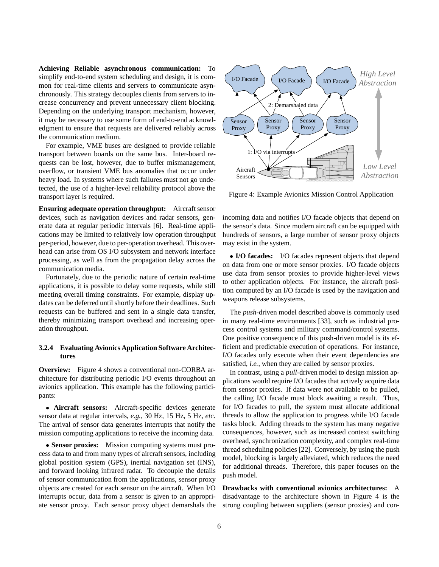**Achieving Reliable asynchronous communication:** To simplify end-to-end system scheduling and design, it is common for real-time clients and servers to communicate asynchronously. This strategy decouples clients from servers to increase concurrency and prevent unnecessary client blocking. Depending on the underlying transport mechanism, however, it may be necessary to use some form of end-to-end acknowledgment to ensure that requests are delivered reliably across the communication medium.

For example, VME buses are designed to provide reliable transport between boards on the same bus. Inter-board requests can be lost, however, due to buffer mismanagement, overflow, or transient VME bus anomalies that occur under heavy load. In systems where such failures must not go undetected, the use of a higher-level reliability protocol above the transport layer is required.

**Ensuring adequate operation throughput:** Aircraft sensor devices, such as navigation devices and radar sensors, generate data at regular periodic intervals [6]. Real-time applications may be limited to relatively low operation throughput per-period, however, due to per-operation overhead. This overhead can arise from OS I/O subsystem and network interface processing, as well as from the propagation delay across the communication media.

Fortunately, due to the periodic nature of certain real-time applications, it is possible to delay some requests, while still meeting overall timing constraints. For example, display updates can be deferred until shortly before their deadlines. Such requests can be buffered and sent in a single data transfer, thereby minimizing transport overhead and increasing operation throughput.

#### **3.2.4 Evaluating Avionics Application Software Architectures**

**Overview:** Figure 4 shows a conventional non-CORBA architecture for distributing periodic I/O events throughout an avionics application. This example has the following participants:

 **Aircraft sensors:** Aircraft-specific devices generate sensor data at regular intervals, *e.g.*, 30 Hz, 15 Hz, 5 Hz, *etc*. The arrival of sensor data generates interrupts that notify the mission computing applications to receive the incoming data.

 **Sensor proxies:** Mission computing systems must process data to and from many types of aircraft sensors, including global position system (GPS), inertial navigation set (INS), and forward looking infrared radar. To decouple the details of sensor communication from the applications, sensor proxy objects are created for each sensor on the aircraft. When I/O interrupts occur, data from a sensor is given to an appropriate sensor proxy. Each sensor proxy object demarshals the



Figure 4: Example Avionics Mission Control Application

incoming data and notifies I/O facade objects that depend on the sensor's data. Since modern aircraft can be equipped with hundreds of sensors, a large number of sensor proxy objects may exist in the system.

 **I/O facades:** I/O facades represent objects that depend on data from one or more sensor proxies. I/O facade objects use data from sensor proxies to provide higher-level views to other application objects. For instance, the aircraft position computed by an I/O facade is used by the navigation and weapons release subsystems.

The *push*-driven model described above is commonly used in many real-time environments [33], such as industrial process control systems and military command/control systems. One positive consequence of this push-driven model is its efficient and predictable execution of operations. For instance, I/O facades only execute when their event dependencies are satisfied, *i.e.*, when they are called by sensor proxies.

In contrast, using a *pull*-driven model to design mission applications would require I/O facades that actively acquire data from sensor proxies. If data were not available to be pulled, the calling I/O facade must block awaiting a result. Thus, for I/O facades to pull, the system must allocate additional threads to allow the application to progress while I/O facade tasks block. Adding threads to the system has many negative consequences, however, such as increased context switching overhead, synchronization complexity, and complex real-time thread scheduling policies [22]. Conversely, by using the push model, blocking is largely alleviated, which reduces the need for additional threads. Therefore, this paper focuses on the push model.

**Drawbacks with conventional avionics architectures:** A disadvantage to the architecture shown in Figure 4 is the strong coupling between suppliers (sensor proxies) and con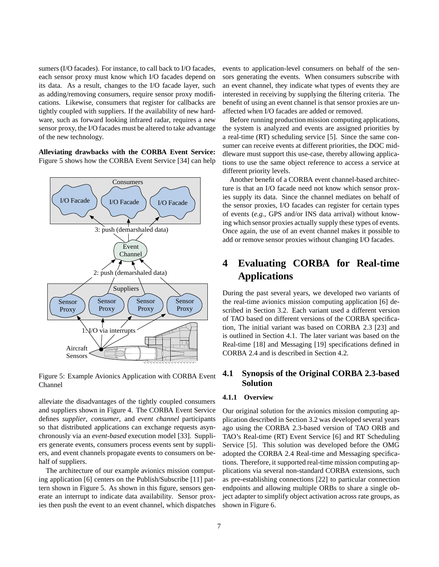sumers (I/O facades). For instance, to call back to I/O facades, each sensor proxy must know which I/O facades depend on its data. As a result, changes to the I/O facade layer, such as adding/removing consumers, require sensor proxy modifications. Likewise, consumers that register for callbacks are tightly coupled with suppliers. If the availability of new hardware, such as forward looking infrared radar, requires a new sensor proxy, the I/O facades must be altered to take advantage of the new technology.

**Alleviating drawbacks with the CORBA Event Service:** Figure 5 shows how the CORBA Event Service [34] can help



Figure 5: Example Avionics Application with CORBA Event Channel

alleviate the disadvantages of the tightly coupled consumers and suppliers shown in Figure 4. The CORBA Event Service defines *supplier*, *consumer*, and *event channel* participants so that distributed applications can exchange requests asynchronously via an *event-based* execution model [33]. Suppliers generate events, consumers process events sent by suppliers, and event channels propagate events to consumers on behalf of suppliers.

The architecture of our example avionics mission computing application [6] centers on the Publish/Subscribe [11] pattern shown in Figure 5. As shown in this figure, sensors generate an interrupt to indicate data availability. Sensor proxies then push the event to an event channel, which dispatches events to application-level consumers on behalf of the sensors generating the events. When consumers subscribe with an event channel, they indicate what types of events they are interested in receiving by supplying the filtering criteria. The benefit of using an event channel is that sensor proxies are unaffected when I/O facades are added or removed.

Before running production mission computing applications, the system is analyzed and events are assigned priorities by a real-time (RT) scheduling service [5]. Since the same consumer can receive events at different priorities, the DOC middleware must support this use-case, thereby allowing applications to use the same object reference to access a service at different priority levels.

Another benefit of a CORBA event channel-based architecture is that an I/O facade need not know which sensor proxies supply its data. Since the channel mediates on behalf of the sensor proxies, I/O facades can register for certain types of events (*e.g.*, GPS and/or INS data arrival) without knowing which sensor proxies actually supply these types of events. Once again, the use of an event channel makes it possible to add or remove sensor proxies without changing I/O facades.

# **4 Evaluating CORBA for Real-time Applications**

During the past several years, we developed two variants of the real-time avionics mission computing application [6] described in Section 3.2. Each variant used a different version of TAO based on different versions of the CORBA specification, The initial variant was based on CORBA 2.3 [23] and is outlined in Section 4.1. The later variant was based on the Real-time [18] and Messaging [19] specifications defined in CORBA 2.4 and is described in Section 4.2.

## **4.1 Synopsis of the Original CORBA 2.3-based Solution**

### **4.1.1 Overview**

Our original solution for the avionics mission computing application described in Section 3.2 was developed several years ago using the CORBA 2.3-based version of TAO ORB and TAO's Real-time (RT) Event Service [6] and RT Scheduling Service [5]. This solution was developed before the OMG adopted the CORBA 2.4 Real-time and Messaging specifications. Therefore, it supported real-time mission computing applications via several non-standard CORBA extensions, such as pre-establishing connections [22] to particular connection endpoints and allowing multiple ORBs to share a single object adapter to simplify object activation across rate groups, as shown in Figure 6.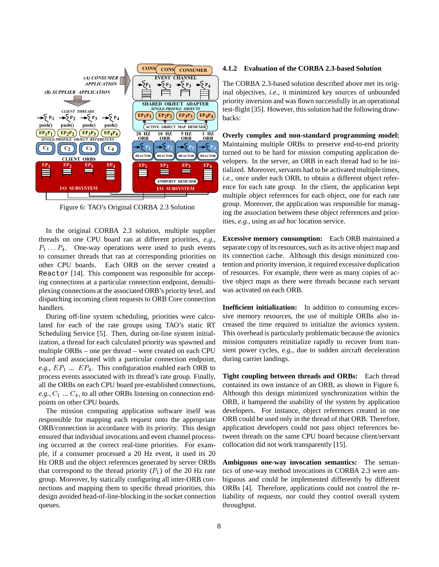

Figure 6: TAO's Original CORBA 2.3 Solution

In the original CORBA 2.3 solution, multiple supplier threads on one CPU board ran at different priorities, *e.g.*,  $P_1 \ldots P_4$ . One-way operations were used to push events to consumer threads that ran at corresponding priorities on other CPU boards. Each ORB on the server created a Reactor [14]. This component was responsible for accepting connections at a particular connection endpoint, demultiplexing connections at the associated ORB's priority level, and dispatching incoming client requests to ORB Core connection handlers.

During off-line system scheduling, priorities were calculated for each of the rate groups using TAO's static RT Scheduling Service [5]. Then, during on-line system initialization, a thread for each calculated priority was spawned and multiple ORBs – one per thread – were created on each CPU board and associated with a particular connection endpoint, *e.g.*,  $EP_1$  ...  $EP_4$ . This configuration enabled each ORB to process events associated with its thread's rate group. Finally, all the ORBs on each CPU board pre-established connections,  $e.g., C_1 ... C_4$ , to all other ORBs listening on connection endpoints on other CPU boards.

The mission computing application software itself was responsible for mapping each request onto the appropriate ORB/connection in accordance with its priority. This design ensured that individual invocations and event channel processing occurred at the correct real-time priorities. For example, if a consumer processed a 20 Hz event, it used its 20 Hz ORB and the object references generated by server ORBs that correspond to the thread priority  $(P_1)$  of the 20 Hz rate group. Moreover, by statically configuring all inter-ORB connections and mapping them to specific thread priorities, this design avoided head-of-line-blocking in the socket connection queues.

#### **4.1.2 Evaluation of the CORBA 2.3-based Solution**

The CORBA 2.3-based solution described above met its original objectives, *i.e.*, it minimized key sources of unbounded priority inversion and was flown successfully in an operational test-flight [35]. However, this solution had the following drawbacks:

**Overly complex and non-standard programming model:** Maintaining multiple ORBs to preserve end-to-end priority turned out to be hard for mission computing application developers. In the server, an ORB in each thread had to be initialized. Moreover, servants had to be activated multiple times, *i.e.*, once under each ORB, to obtain a different object reference for each rate group. In the client, the application kept multiple object references for each object, one for each rate group. Moreover, the application was responsible for managing the association between these object references and priorities, *e.g.*, using an *ad hoc* location service.

**Excessive memory consumption:** Each ORB maintained a separate copy of its resources, such as its active object map and its connection cache. Although this design minimized contention and priority inversion, it required excessive duplication of resources. For example, there were as many copies of active object maps as there were threads because each servant was activated on each ORB.

**Inefficient initialization:** In addition to consuming excessive memory resources, the use of multiple ORBs also increased the time required to initialize the avionics system. This overhead is particularly problematic because the avionics mission computers reinitialize rapidly to recover from transient power cycles, *e.g.*, due to sudden aircraft deceleration during carrier landings.

**Tight coupling between threads and ORBs:** Each thread contained its own instance of an ORB, as shown in Figure 6. Although this design minimized synchronization within the ORB, it hampered the usability of the system by application developers. For instance, object references created in one ORB could be used only in the thread of that ORB. Therefore, application developers could not pass object references between threads on the same CPU board because client/servant collocation did not work transparently [15].

**Ambiguous one-way invocation semantics:** The semantics of one-way method invocations in CORBA 2.3 were ambiguous and could be implemented differently by different ORBs [4]. Therefore, applications could not control the reliability of requests, nor could they control overall system throughput.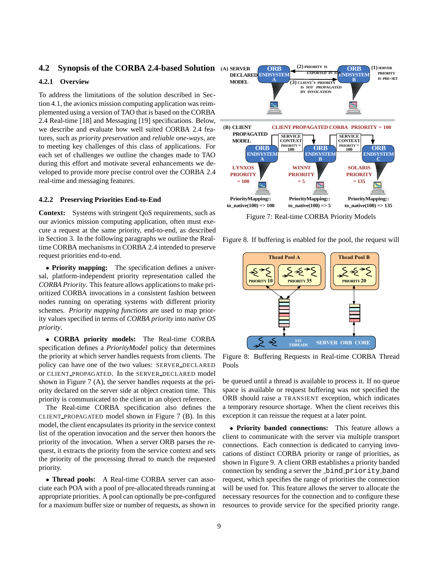## **4.2 Synopsis of the CORBA 2.4-based Solution (A) SERVER**

#### **4.2.1 Overview**

To address the limitations of the solution described in Section 4.1, the avionics mission computing application was reimplemented using a version of TAO that is based on the CORBA 2.4 Real-time [18] and Messaging [19] specifications. Below, we describe and evaluate how well suited CORBA 2.4 features, such as *priority preservation* and *reliable one-ways*, are to meeting key challenges of this class of applications. For each set of challenges we outline the changes made to TAO during this effort and motivate several enhancements we developed to provide more precise control over the CORBA 2.4 real-time and messaging features.

#### **4.2.2 Preserving Priorities End-to-End**

**Context:** Systems with stringent QoS requirements, such as our avionics mission computing application, often must execute a request at the same priority, end-to-end, as described in Section 3. In the following paragraphs we outline the Realtime CORBA mechanisms in CORBA 2.4 intended to preserve request priorities end-to-end.

 **Priority mapping:** The specification defines a universal, platform-independent priority representation called the *CORBA Priority*. This feature allows applications to make prioritized CORBA invocations in a consistent fashion between nodes running on operating systems with different priority schemes. *Priority mapping functions* are used to map priority values specified in terms of *CORBA priority* into *native OS priority*.

 **CORBA priority models:** The Real-time CORBA specification defines a *PriorityModel* policy that determines the priority at which server handles requests from clients. The policy can have one of the two values: SERVER DECLARED or CLIENT PROPAGATED. In the SERVER DECLARED model shown in Figure 7 (A), the server handles requests at the priority declared on the server side at object creation time. This priority is communicated to the client in an object reference.

The Real-time CORBA specification also defines the CLIENT PROPAGATED model shown in Figure 7 (B). In this model, the client encapsulates its priority in the service context list of the operation invocation and the server then honors the priority of the invocation. When a server ORB parses the request, it extracts the priority from the service context and sets the priority of the processing thread to match the requested priority.

 **Thread pools:** A Real-time CORBA server can associate each POA with a pool of pre-allocated threads running at appropriate priorities. A pool can optionally be pre-configured for a maximum buffer size or number of requests, as shown in



Figure 7: Real-time CORBA Priority Models

Figure 8. If buffering is enabled for the pool, the request will



Figure 8: Buffering Requests in Real-time CORBA Thread Pools

be queued until a thread is available to process it. If no queue space is available or request buffering was not specified the ORB should raise a TRANSIENT exception, which indicates a temporary resource shortage. When the client receives this exception it can reissue the request at a later point.

 **Priority banded connections:** This feature allows a client to communicate with the server via multiple transport connections. Each connection is dedicated to carrying invocations of distinct CORBA priority or range of priorities, as shown in Figure 9. A client ORB establishes a priority banded connection by sending a server the bind priority band request, which specifies the range of priorities the connection will be used for. This feature allows the server to allocate the necessary resources for the connection and to configure these resources to provide service for the specified priority range.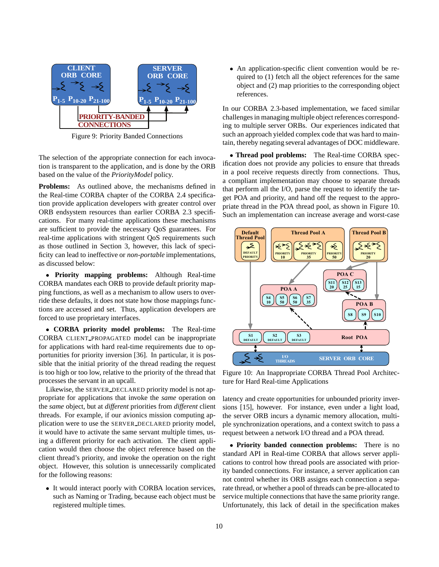

Figure 9: Priority Banded Connections

The selection of the appropriate connection for each invocation is transparent to the application, and is done by the ORB based on the value of the *PriorityModel* policy.

**Problems:** As outlined above, the mechanisms defined in the Real-time CORBA chapter of the CORBA 2.4 specification provide application developers with greater control over ORB endsystem resources than earlier CORBA 2.3 specifications. For many real-time applications these mechanisms are sufficient to provide the necessary QoS guarantees. For real-time applications with stringent QoS requirements such as those outlined in Section 3, however, this lack of specificity can lead to ineffective or *non-portable* implementations, as discussed below:

 **Priority mapping problems:** Although Real-time CORBA mandates each ORB to provide default priority mapping functions, as well as a mechanism to allow users to override these defaults, it does not state how those mappings functions are accessed and set. Thus, application developers are forced to use proprietary interfaces.

 **CORBA priority model problems:** The Real-time CORBA CLIENT PROPAGATED model can be inappropriate for applications with hard real-time requirements due to opportunities for priority inversion [36]. In particular, it is possible that the initial priority of the thread reading the request is too high or too low, relative to the priority of the thread that processes the servant in an upcall.

Likewise, the SERVER DECLARED priority model is not appropriate for applications that invoke the *same* operation on the *same* object, but at *different* priorities from *different* client threads. For example, if our avionics mission computing application were to use the SERVER DECLARED priority model, it would have to activate the same servant multiple times, using a different priority for each activation. The client application would then choose the object reference based on the client thread's priority, and invoke the operation on the right object. However, this solution is unnecessarily complicated for the following reasons:

 It would interact poorly with CORBA location services, such as Naming or Trading, because each object must be registered multiple times.

 An application-specific client convention would be required to (1) fetch all the object references for the same object and (2) map priorities to the corresponding object references.

In our CORBA 2.3-based implementation, we faced similar challenges in managing multiple object references corresponding to multiple server ORBs. Our experiences indicated that such an approach yielded complex code that was hard to maintain, thereby negating several advantages of DOC middleware.

 **Thread pool problems:** The Real-time CORBA specification does not provide any policies to ensure that threads in a pool receive requests directly from connections. Thus, a compliant implementation may choose to separate threads that perform all the I/O, parse the request to identify the target POA and priority, and hand off the request to the appropriate thread in the POA thread pool, as shown in Figure 10. Such an implementation can increase average and worst-case



Figure 10: An Inappropriate CORBA Thread Pool Architecture for Hard Real-time Applications

latency and create opportunities for unbounded priority inversions [15], however. For instance, even under a light load, the server ORB incurs a dynamic memory allocation, multiple synchronization operations, and a context switch to pass a request between a network I/O thread and a POA thread.

 **Priority banded connection problems:** There is no standard API in Real-time CORBA that allows server applications to control how thread pools are associated with priority banded connections. For instance, a server application can not control whether its ORB assigns each connection a separate thread, or whether a pool of threads can be pre-allocated to service multiple connections that have the same priority range. Unfortunately, this lack of detail in the specification makes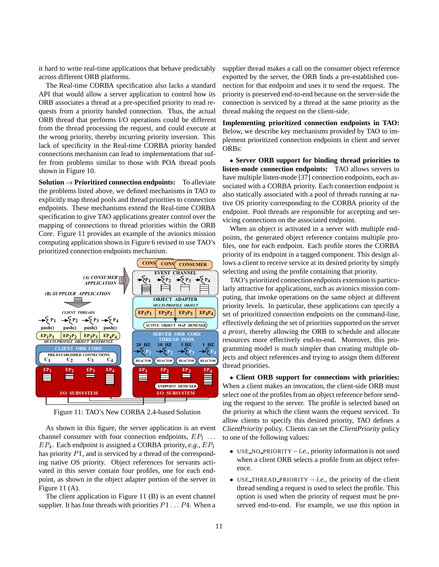it hard to write real-time applications that behave predictably across different ORB platforms.

The Real-time CORBA specification also lacks a standard API that would allow a server application to control how its ORB associates a thread at a pre-specified priority to read requests from a priority banded connection. Thus, the actual ORB thread that performs I/O operations could be different from the thread processing the request, and could execute at the wrong priority, thereby incurring priority inversion. This lack of specificity in the Real-time CORBA priority banded connections mechanism can lead to implementations that suffer from problems similar to those with POA thread pools shown in Figure 10.

**Solution**  $\rightarrow$  **Prioritized connection endpoints:** To alleviate the problems listed above, we defined mechanisms in TAO to explicitly map thread pools and thread priorities to connection endpoints. These mechanisms extend the Real-time CORBA specification to give TAO applications greater control over the mapping of connections to thread priorities within the ORB Core. Figure 11 provides an example of the avionics mission computing application shown in Figure 6 revised to use TAO's prioritized connection endpoints mechanism.



Figure 11: TAO's New CORBA 2.4-based Solution

As shown in this figure, the server application is an event channel consumer with four connection endpoints,  $EP_1$ ...  $EP_4$ . Each endpoint is assigned a CORBA priority, *e.g.*,  $EP_1$ has priority  $P1$ , and is serviced by a thread of the corresponding native OS priority. Object references for servants activated in this server contain four profiles, one for each endpoint, as shown in the object adapter portion of the server in Figure 11 (A).

The client application in Figure 11 (B) is an event channel supplier. It has four threads with priorities  $P1 \ldots P4$ . When a

supplier thread makes a call on the consumer object reference exported by the server, the ORB finds a pre-established connection for that endpoint and uses it to send the request. The priority is preserved end-to-end because on the server-side the connection is serviced by a thread at the same priority as the thread making the request on the client-side.

**Implementing prioritized connection endpoints in TAO:** Below, we describe key mechanisms provided by TAO to implement prioritized connection endpoints in client and server ORBs:

 **Server ORB support for binding thread priorities to listen-mode connection endpoints:** TAO allows servers to have multiple listen-mode [37] connection endpoints, each associated with a CORBA priority. Each connection endpoint is also statically associated with a pool of threads running at native OS priority corresponding to the CORBA priority of the endpoint. Pool threads are responsible for accepting and servicing connections on the associated endpoint.

When an object is activated in a server with multiple endpoints, the generated object reference contains multiple profiles, one for each endpoint. Each profile stores the CORBA priority of its endpoint in a tagged component. This design allows a client to receive service at its desired priority by simply selecting and using the profile containing that priority.

TAO's prioritized connection endpoints extension is particularly attractive for applications, such as avionics mission computing, that invoke operations on the same object at different priority levels. In particular, these applications can specify a set of prioritized connection endpoints on the command-line, effectively defining the set of priorities supported on the server *a priori*, thereby allowing the ORB to schedule and allocate resources more effectively end-to-end. Moreover, this programming model is much simpler than creating multiple objects and object references and trying to assign them different thread priorities.

 **Client ORB support for connections with priorities:** When a client makes an invocation, the client-side ORB must select one of the profiles from an object reference before sending the request to the server. The profile is selected based on the priority at which the client wants the request serviced. To allow clients to specify this desired priority, TAO defines a *ClientPriority* policy. Clients can set the *ClientPriority* policy to one of the following values:

- $\bullet$  USE\_NO\_PRIORITY *i.e.*, priority information is not used when a client ORB selects a profile from an object reference.
- $\bullet$  USE THREAD PRIORITY *i.e.*, the priority of the client thread sending a request is used to select the profile. This option is used when the priority of request must be preserved end-to-end. For example, we use this option in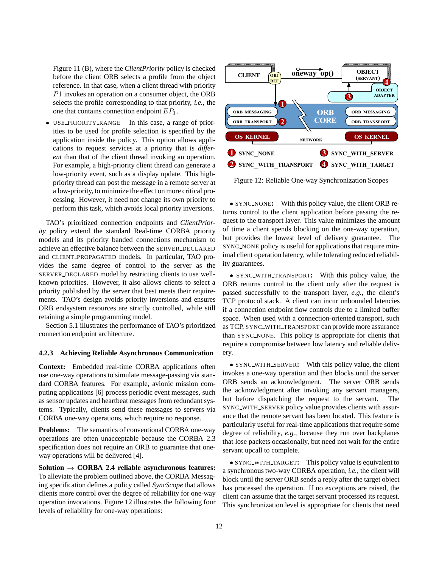Figure 11 (B), where the *ClientPriority* policy is checked before the client ORB selects a profile from the object reference. In that case, when a client thread with priority  $P1$  invokes an operation on a consumer object, the ORB selects the profile corresponding to that priority, *i.e.*, the one that contains connection endpoint  $EP_1$ .

 USE PRIORITY RANGE – In this case, a range of priorities to be used for profile selection is specified by the application inside the policy. This option allows applications to request services at a priority that is *different* than that of the client thread invoking an operation. For example, a high-priority client thread can generate a low-priority event, such as a display update. This highpriority thread can post the message in a remote server at a low-priority, to minimize the effect on more critical processing. However, it need not change its own priority to perform this task, which avoids local priority inversions.

TAO's prioritized connection endpoints and *ClientPriority* policy extend the standard Real-time CORBA priority models and its priority banded connections mechanism to achieve an effective balance between the SERVER DECLARED and CLIENT PROPAGATED models. In particular, TAO provides the same degree of control to the server as the SERVER DECLARED model by restricting clients to use wellknown priorities. However, it also allows clients to select a priority published by the server that best meets their requirements. TAO's design avoids priority inversions and ensures ORB endsystem resources are strictly controlled, while still retaining a simple programming model.

Section 5.1 illustrates the performance of TAO's prioritized connection endpoint architecture.

#### **4.2.3 Achieving Reliable Asynchronous Communication**

**Context:** Embedded real-time CORBA applications often use one-way operations to simulate message-passing via standard CORBA features. For example, avionic mission computing applications [6] process periodic event messages, such as sensor updates and heartbeat messages from redundant systems. Typically, clients send these messages to servers via CORBA one-way operations, which require no response.

**Problems:** The semantics of conventional CORBA one-way operations are often unacceptable because the CORBA 2.3 specification does not require an ORB to guarantee that oneway operations will be delivered [4].

**Solution**  $\rightarrow$  **CORBA 2.4 reliable asynchronous features:** To alleviate the problem outlined above, the CORBA Messaging specification defines a policy called *SyncScope* that allows clients more control over the degree of reliability for one-way operation invocations. Figure 12 illustrates the following four levels of reliability for one-way operations:



Figure 12: Reliable One-way Synchronization Scopes

• SYNC\_NONE: With this policy value, the client ORB returns control to the client application before passing the request to the transport layer. This value minimizes the amount of time a client spends blocking on the one-way operation, but provides the lowest level of delivery guarantee. The SYNC NONE policy is useful for applications that require minimal client operation latency, while tolerating reduced reliability guarantees.

 SYNC WITH TRANSPORT**:** With this policy value, the ORB returns control to the client only after the request is passed successfully to the transport layer, *e.g.*, the client's TCP protocol stack. A client can incur unbounded latencies if a connection endpoint flow controls due to a limited buffer space. When used with a connection-oriented transport, such as TCP, SYNC WITH TRANSPORT can provide more assurance than SYNC NONE. This policy is appropriate for clients that require a compromise between low latency and reliable delivery.

• SYNC\_WITH\_SERVER: With this policy value, the client invokes a one-way operation and then blocks until the server ORB sends an acknowledgment. The server ORB sends the acknowledgment after invoking any servant managers, but before dispatching the request to the servant. The SYNC WITH SERVER policy value provides clients with assurance that the remote servant has been located. This feature is particularly useful for real-time applications that require some degree of reliability, *e.g.*, because they run over backplanes that lose packets occasionally, but need not wait for the entire servant upcall to complete.

 SYNC WITH TARGET**:** This policy value is equivalent to a synchronous two-way CORBA operation, *i.e.*, the client will block until the server ORB sends a reply after the target object has processed the operation. If no exceptions are raised, the client can assume that the target servant processed its request. This synchronization level is appropriate for clients that need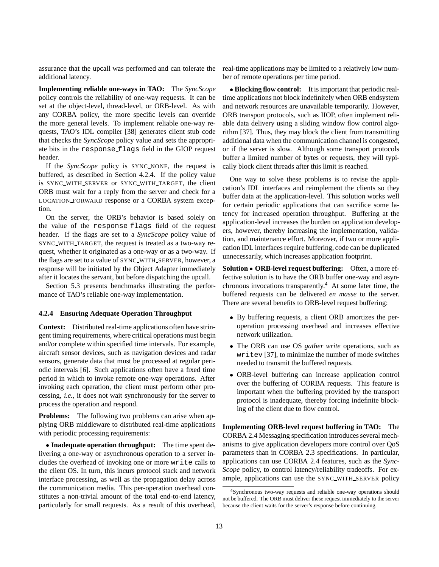assurance that the upcall was performed and can tolerate the real-time applications may be limited to a relatively low numadditional latency.

**Implementing reliable one-ways in TAO:** The *SyncScope* policy controls the reliability of one-way requests. It can be set at the object-level, thread-level, or ORB-level. As with any CORBA policy, the more specific levels can override the more general levels. To implement reliable one-way requests, TAO's IDL compiler [38] generates client stub code that checks the *SyncScope* policy value and sets the appropriate bits in the response flags field in the GIOP request header.

If the *SyncScope* policy is SYNC NONE, the request is buffered, as described in Section 4.2.4. If the policy value is SYNC WITH SERVER or SYNC WITH TARGET, the client ORB must wait for a reply from the server and check for a LOCATION FORWARD response or a CORBA system exception.

On the server, the ORB's behavior is based solely on the value of the response flags field of the request header. If the flags are set to a *SyncScope* policy value of SYNC WITH TARGET, the request is treated as a two-way request, whether it originated as a one-way or as a two-way. If the flags are set to a value of SYNC WITH SERVER, however, a response will be initiated by the Object Adapter immediately after it locates the servant, but before dispatching the upcall.

Section 5.3 presents benchmarks illustrating the performance of TAO's reliable one-way implementation.

#### **4.2.4 Ensuring Adequate Operation Throughput**

**Context:** Distributed real-time applications often have stringent timing requirements, where critical operations must begin and/or complete within specified time intervals. For example, aircraft sensor devices, such as navigation devices and radar sensors, generate data that must be processed at regular periodic intervals [6]. Such applications often have a fixed time period in which to invoke remote one-way operations. After invoking each operation, the client must perform other processing, *i.e.*, it does not wait synchronously for the server to process the operation and respond.

**Problems:** The following two problems can arise when applying ORB middleware to distributed real-time applications with periodic processing requirements:

 **Inadequate operation throughput:** The time spent delivering a one-way or asynchronous operation to a server includes the overhead of invoking one or more write calls to the client OS. In turn, this incurs protocol stack and network interface processing, as well as the propagation delay across the communication media. This per-operation overhead constitutes a non-trivial amount of the total end-to-end latency, particularly for small requests. As a result of this overhead, ber of remote operations per time period.

 **Blocking flow control:** It is important that periodic realtime applications not block indefinitely when ORB endsystem and network resources are unavailable temporarily. However, ORB transport protocols, such as IIOP, often implement reliable data delivery using a sliding window flow control algorithm [37]. Thus, they may block the client from transmitting additional data when the communication channel is congested, or if the server is slow. Although some transport protocols buffer a limited number of bytes or requests, they will typically block client threads after this limit is reached.

One way to solve these problems is to revise the application's IDL interfaces and reimplement the clients so they buffer data at the application-level. This solution works well for certain periodic applications that can sacrifice some latency for increased operation throughput. Buffering at the application-level increases the burden on application developers, however, thereby increasing the implementation, validation, and maintenance effort. Moreover, if two or more application IDL interfaces require buffering, code can be duplicated unnecessarily, which increases application footprint.

**Solution • ORB-level request buffering:** Often, a more effective solution is to have the ORB buffer one-way and asynchronous invocations transparently.<sup>4</sup> At some later time, the buffered requests can be delivered *en masse* to the server. There are several benefits to ORB-level request buffering:

- By buffering requests, a client ORB amortizes the peroperation processing overhead and increases effective network utilization.
- The ORB can use OS *gather write* operations, such as writev [37], to minimize the number of mode switches needed to transmit the buffered requests.
- ORB-level buffering can increase application control over the buffering of CORBA requests. This feature is important when the buffering provided by the transport protocol is inadequate, thereby forcing indefinite blocking of the client due to flow control.

**Implementing ORB-level request buffering in TAO:** The CORBA 2.4 Messaging specification introduces several mechanisms to give application developers more control over QoS parameters than in CORBA 2.3 specifications. In particular, applications can use CORBA 2.4 features, such as the *Sync-Scope* policy, to control latency/reliability tradeoffs. For example, applications can use the SYNC WITH SERVER policy

<sup>4</sup>Synchronous two-way requests and reliable one-way operations should not be buffered. The ORB must deliver these request immediately to the server because the client waits for the server's response before continuing.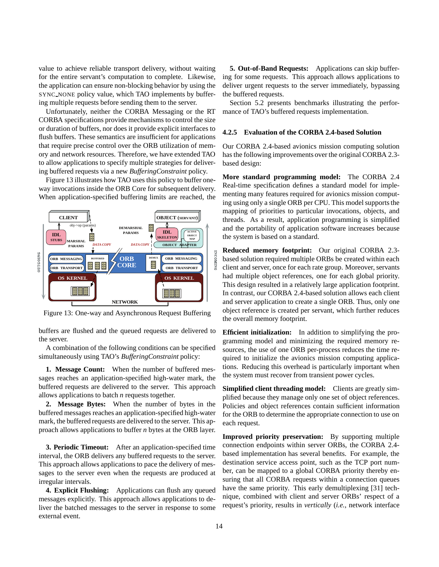value to achieve reliable transport delivery, without waiting for the entire servant's computation to complete. Likewise, the application can ensure non-blocking behavior by using the SYNC NONE policy value, which TAO implements by buffering multiple requests before sending them to the server.

Unfortunately, neither the CORBA Messaging or the RT CORBA specifications provide mechanisms to control the size or duration of buffers, nor does it provide explicit interfaces to flush buffers. These semantics are insufficient for applications that require precise control over the ORB utilization of memory and network resources. Therefore, we have extended TAO to allow applications to specify multiple strategies for delivering buffered requests via a new *BufferingConstraint* policy.

Figure 13 illustrates how TAO uses this policy to buffer oneway invocations inside the ORB Core for subsequent delivery. When application-specified buffering limits are reached, the



Figure 13: One-way and Asynchronous Request Buffering

buffers are flushed and the queued requests are delivered to the server.

A combination of the following conditions can be specified simultaneously using TAO's *BufferingConstraint* policy:

**1. Message Count:** When the number of buffered messages reaches an application-specified high-water mark, the buffered requests are delivered to the server. This approach allows applications to batch *n* requests together.

**2. Message Bytes:** When the number of bytes in the buffered messages reaches an application-specified high-water mark, the buffered requests are delivered to the server. This approach allows applications to buffer *n* bytes at the ORB layer.

**3. Periodic Timeout:** After an application-specified time interval, the ORB delivers any buffered requests to the server. This approach allows applications to pace the delivery of messages to the server even when the requests are produced at irregular intervals.

**4. Explicit Flushing:** Applications can flush any queued messages explicitly. This approach allows applications to deliver the batched messages to the server in response to some external event.

**5. Out-of-Band Requests:** Applications can skip buffering for some requests. This approach allows applications to deliver urgent requests to the server immediately, bypassing the buffered requests.

Section 5.2 presents benchmarks illustrating the performance of TAO's buffered requests implementation.

#### **4.2.5 Evaluation of the CORBA 2.4-based Solution**

Our CORBA 2.4-based avionics mission computing solution has the following improvements over the original CORBA 2.3 based design:

**More standard programming model:** The CORBA 2.4 Real-time specification defines a standard model for implementing many features required for avionics mission computing using only a single ORB per CPU. This model supports the mapping of priorities to particular invocations, objects, and threads. As a result, application programming is simplified and the portability of application software increases because the system is based on a standard.

**Reduced memory footprint:** Our original CORBA 2.3 based solution required multiple ORBs be created within each client and server, once for each rate group. Moreover, servants had multiple object references, one for each global priority. This design resulted in a relatively large application footprint. In contrast, our CORBA 2.4-based solution allows each client and server application to create a single ORB. Thus, only one object reference is created per servant, which further reduces the overall memory footprint.

**Efficient initialization:** In addition to simplifying the programming model and minimizing the required memory resources, the use of one ORB per-process reduces the time required to initialize the avionics mission computing applications. Reducing this overhead is particularly important when the system must recover from transient power cycles.

**Simplified client threading model:** Clients are greatly simplified because they manage only one set of object references. Policies and object references contain sufficient information for the ORB to determine the appropriate connection to use on each request.

**Improved priority preservation:** By supporting multiple connection endpoints within server ORBs, the CORBA 2.4 based implementation has several benefits. For example, the destination service access point, such as the TCP port number, can be mapped to a global CORBA priority thereby ensuring that all CORBA requests within a connection queues have the same priority. This early demultiplexing [31] technique, combined with client and server ORBs' respect of a request's priority, results in *vertically* (*i.e.*, network interface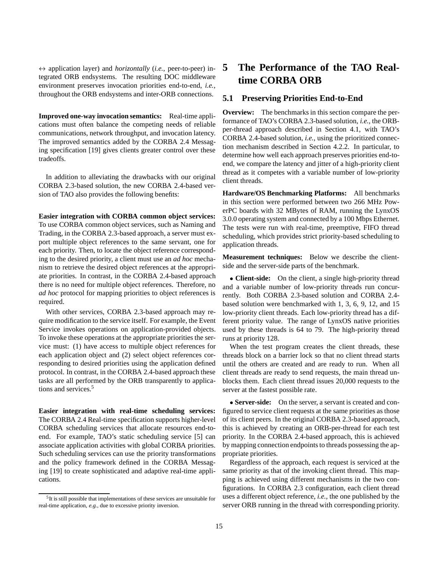$\leftrightarrow$  application layer) and *horizontally* (*i.e.*, peer-to-peer) integrated ORB endsystems. The resulting DOC middleware environment preserves invocation priorities end-to-end, *i.e.*, throughout the ORB endsystems and inter-ORB connections.

**Improved one-way invocation semantics:** Real-time applications must often balance the competing needs of reliable communications, network throughput, and invocation latency. The improved semantics added by the CORBA 2.4 Messaging specification [19] gives clients greater control over these tradeoffs.

In addition to alleviating the drawbacks with our original CORBA 2.3-based solution, the new CORBA 2.4-based version of TAO also provides the following benefits:

**Easier integration with CORBA common object services:** To use CORBA common object services, such as Naming and Trading, in the CORBA 2.3-based approach, a server must export multiple object references to the same servant, one for each priority. Then, to locate the object reference corresponding to the desired priority, a client must use an *ad hoc* mechanism to retrieve the desired object references at the appropriate priorities. In contrast, in the CORBA 2.4-based approach there is no need for multiple object references. Therefore, no *ad hoc* protocol for mapping priorities to object references is required.

With other services, CORBA 2.3-based approach may require modification to the service itself. For example, the Event Service invokes operations on application-provided objects. To invoke these operations at the appropriate priorities the service must: (1) have access to multiple object references for each application object and (2) select object references corresponding to desired priorities using the application defined protocol. In contrast, in the CORBA 2.4-based approach these tasks are all performed by the ORB transparently to applications and services.5

**Easier integration with real-time scheduling services:** The CORBA 2.4 Real-time specification supports higher-level CORBA scheduling services that allocate resources end-toend. For example, TAO's static scheduling service [5] can associate application activities with global CORBA priorities. Such scheduling services can use the priority transformations and the policy framework defined in the CORBA Messaging [19] to create sophisticated and adaptive real-time applications.

# **5 The Performance of the TAO Realtime CORBA ORB**

## **5.1 Preserving Priorities End-to-End**

**Overview:** The benchmarks in this section compare the performance of TAO's CORBA 2.3-based solution, *i.e.*, the ORBper-thread approach described in Section 4.1, with TAO's CORBA 2.4-based solution, *i.e.*, using the prioritized connection mechanism described in Section 4.2.2. In particular, to determine how well each approach preserves priorities end-toend, we compare the latency and jitter of a high-priority client thread as it competes with a variable number of low-priority client threads.

**Hardware/OS Benchmarking Platforms:** All benchmarks in this section were performed between two 266 MHz PowerPC boards with 32 MBytes of RAM, running the LynxOS 3.0.0 operating system and connected by a 100 Mbps Ethernet. The tests were run with real-time, preemptive, FIFO thread scheduling, which provides strict priority-based scheduling to application threads.

**Measurement techniques:** Below we describe the clientside and the server-side parts of the benchmark.

• Client-side: On the client, a single high-priority thread and a variable number of low-priority threads run concurrently. Both CORBA 2.3-based solution and CORBA 2.4 based solution were benchmarked with 1, 3, 6, 9, 12, and 15 low-priority client threads. Each low-priority thread has a different priority value. The range of LynxOS native priorities used by these threads is 64 to 79. The high-priority thread runs at priority 128.

When the test program creates the client threads, these threads block on a barrier lock so that no client thread starts until the others are created and are ready to run. When all client threads are ready to send requests, the main thread unblocks them. Each client thread issues 20,000 requests to the server at the fastest possible rate.

 **Server-side:** On the server, a servant is created and configured to service client requests at the same priorities as those of its client peers. In the original CORBA 2.3-based approach, this is achieved by creating an ORB-per-thread for each test priority. In the CORBA 2.4-based approach, this is achieved by mapping connection endpoints to threads possessing the appropriate priorities.

Regardless of the approach, each request is serviced at the same priority as that of the invoking client thread. This mapping is achieved using different mechanisms in the two configurations. In CORBA 2.3 configuration, each client thread uses a different object reference, *i.e.*, the one published by the server ORB running in the thread with corresponding priority.

<sup>5</sup>It is still possible that implementations of these services are unsuitable for real-time application, *e.g.*, due to excessive priority inversion.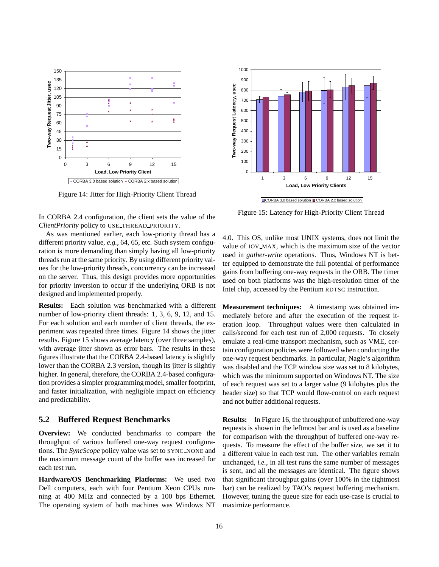

Figure 14: Jitter for High-Priority Client Thread



As was mentioned earlier, each low-priority thread has a different priority value, *e.g.*, 64, 65, etc. Such system configuration is more demanding than simply having all low-priority threads run at the same priority. By using different priority values for the low-priority threads, concurrency can be increased on the server. Thus, this design provides more opportunities for priority inversion to occur if the underlying ORB is not designed and implemented properly.

**Results:** Each solution was benchmarked with a different number of low-priority client threads: 1, 3, 6, 9, 12, and 15. For each solution and each number of client threads, the experiment was repeated three times. Figure 14 shows the jitter results. Figure 15 shows average latency (over three samples), with average jitter shown as error bars. The results in these figures illustrate that the CORBA 2.4-based latency is slightly lower than the CORBA 2.3 version, though its jitter is slightly higher. In general, therefore, the CORBA 2.4-based configuration provides a simpler programming model, smaller footprint, and faster initialization, with negligible impact on efficiency and predictability.

#### **5.2 Buffered Request Benchmarks**

**Overview:** We conducted benchmarks to compare the throughput of various buffered one-way request configurations. The *SyncScope* policy value was set to SYNC NONE and the maximum message count of the buffer was increased for each test run.

**Hardware/OS Benchmarking Platforms:** We used two Dell computers, each with four Pentium Xeon CPUs running at 400 MHz and connected by a 100 bps Ethernet. The operating system of both machines was Windows NT



Figure 15: Latency for High-Priority Client Thread

4.0. This OS, unlike most UNIX systems, does not limit the value of IOV MAX, which is the maximum size of the vector used in *gather-write* operations. Thus, Windows NT is better equipped to demonstrate the full potential of performance gains from buffering one-way requests in the ORB. The timer used on both platforms was the high-resolution timer of the Intel chip, accessed by the Pentium RDTSC instruction.

**Measurement techniques:** A timestamp was obtained immediately before and after the execution of the request iteration loop. Throughput values were then calculated in calls/second for each test run of 2,000 requests. To closely emulate a real-time transport mechanism, such as VME, certain configuration policies were followed when conducting the one-way request benchmarks. In particular, Nagle's algorithm was disabled and the TCP window size was set to 8 kilobytes, which was the minimum supported on Windows NT. The size of each request was set to a larger value (9 kilobytes plus the header size) so that TCP would flow-control on each request and not buffer additional requests.

**Results:** In Figure 16, the throughput of unbuffered one-way requests is shown in the leftmost bar and is used as a baseline for comparison with the throughput of buffered one-way requests. To measure the effect of the buffer size, we set it to a different value in each test run. The other variables remain unchanged, *i.e.*, in all test runs the same number of messages is sent, and all the messages are identical. The figure shows that significant throughput gains (over 100% in the rightmost bar) can be realized by TAO's request buffering mechanism. However, tuning the queue size for each use-case is crucial to maximize performance.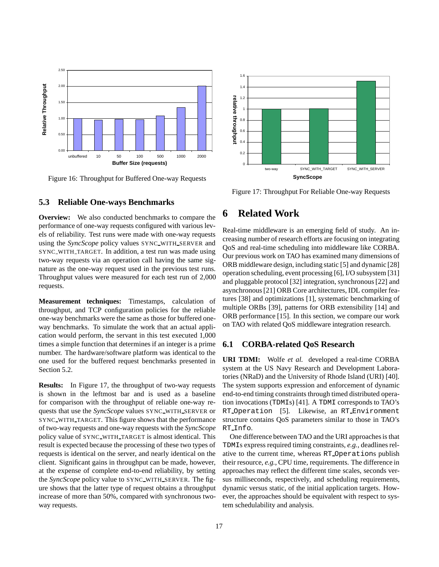

Figure 16: Throughput for Buffered One-way Requests

### **5.3 Reliable One-ways Benchmarks**

**Overview:** We also conducted benchmarks to compare the performance of one-way requests configured with various levels of reliability. Test runs were made with one-way requests using the *SyncScope* policy values SYNC WITH SERVER and SYNC WITH TARGET. In addition, a test run was made using two-way requests via an operation call having the same signature as the one-way request used in the previous test runs. Throughput values were measured for each test run of 2,000 requests.

**Measurement techniques:** Timestamps, calculation of throughput, and TCP configuration policies for the reliable one-way benchmarks were the same as those for buffered oneway benchmarks. To simulate the work that an actual application would perform, the servant in this test executed 1,000 times a simple function that determines if an integer is a prime number. The hardware/software platform was identical to the one used for the buffered request benchmarks presented in Section 5.2.

**Results:** In Figure 17, the throughput of two-way requests is shown in the leftmost bar and is used as a baseline for comparison with the throughput of reliable one-way requests that use the *SyncScope* values SYNC WITH SERVER or SYNC WITH TARGET. This figure shows that the performance of two-way requests and one-way requests with the *SyncScope* policy value of SYNC WITH TARGET is almost identical. This result is expected because the processing of these two types of requests is identical on the server, and nearly identical on the client. Significant gains in throughput can be made, however, at the expense of complete end-to-end reliability, by setting the *SyncScope* policy value to SYNC WITH SERVER. The figure shows that the latter type of request obtains a throughput increase of more than 50%, compared with synchronous twoway requests.



Figure 17: Throughput For Reliable One-way Requests

## **6 Related Work**

Real-time middleware is an emerging field of study. An increasing number of research efforts are focusing on integrating QoS and real-time scheduling into middleware like CORBA. Our previous work on TAO has examined many dimensions of ORB middleware design, including static [5] and dynamic [28] operation scheduling, event processing [6], I/O subsystem [31] and pluggable protocol [32] integration, synchronous [22] and asynchronous [21] ORB Core architectures, IDL compiler features [38] and optimizations [1], systematic benchmarking of multiple ORBs [39], patterns for ORB extensibility [14] and ORB performance [15]. In this section, we compare our work on TAO with related QoS middleware integration research.

### **6.1 CORBA-related QoS Research**

**URI TDMI:** Wolfe *et al.* developed a real-time CORBA system at the US Navy Research and Development Laboratories (NRaD) and the University of Rhode Island (URI) [40]. The system supports expression and enforcement of dynamic end-to-end timing constraints through timed distributed operation invocations (TDMIs) [41]. A TDMI corresponds to TAO's RT Operation [5]. Likewise, an RT Environment structure contains QoS parameters similar to those in TAO's RT Info.

One difference between TAO and the URI approaches is that TDMIs express required timing constraints, *e.g.*, deadlines relative to the current time, whereas RT Operations publish their resource, *e.g.*, CPU time, requirements. The difference in approaches may reflect the different time scales, seconds versus milliseconds, respectively, and scheduling requirements, dynamic versus static, of the initial application targets. However, the approaches should be equivalent with respect to system schedulability and analysis.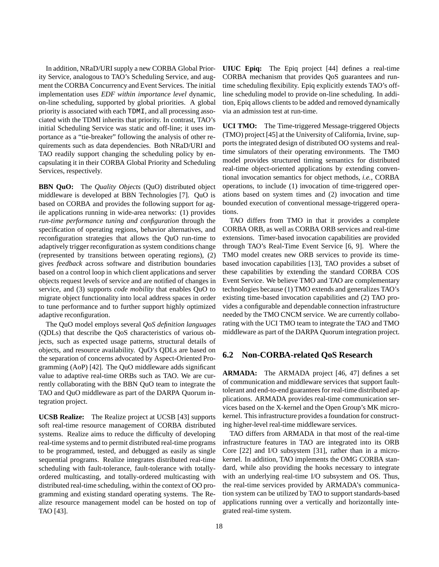In addition, NRaD/URI supply a new CORBA Global Priority Service, analogous to TAO's Scheduling Service, and augment the CORBA Concurrency and Event Services. The initial implementation uses *EDF within importance level* dynamic, on-line scheduling, supported by global priorities. A global priority is associated with each TDMI, and all processing associated with the TDMI inherits that priority. In contrast, TAO's initial Scheduling Service was static and off-line; it uses importance as a "tie-breaker" following the analysis of other requirements such as data dependencies. Both NRaD/URI and TAO readily support changing the scheduling policy by encapsulating it in their CORBA Global Priority and Scheduling Services, respectively.

**BBN QuO:** The *Quality Objects* (QuO) distributed object middleware is developed at BBN Technologies [7]. QuO is based on CORBA and provides the following support for agile applications running in wide-area networks: (1) provides *run-time performance tuning and configuration* through the specification of operating regions, behavior alternatives, and reconfiguration strategies that allows the QuO run-time to adaptively trigger reconfiguration as system conditions change (represented by transitions between operating regions), (2) gives *feedback* across software and distribution boundaries based on a control loop in which client applications and server objects request levels of service and are notified of changes in service, and (3) supports *code mobility* that enables QuO to migrate object functionality into local address spaces in order to tune performance and to further support highly optimized adaptive reconfiguration.

The QuO model employs several *QoS definition languages* (QDLs) that describe the QoS characteristics of various objects, such as expected usage patterns, structural details of objects, and resource availability. QuO's QDLs are based on the separation of concerns advocated by Aspect-Oriented Programming (AoP) [42]. The QuO middleware adds significant value to adaptive real-time ORBs such as TAO. We are currently collaborating with the BBN QuO team to integrate the TAO and QuO middleware as part of the DARPA Quorum integration project.

**UCSB Realize:** The Realize project at UCSB [43] supports soft real-time resource management of CORBA distributed systems. Realize aims to reduce the difficulty of developing real-time systems and to permit distributed real-time programs to be programmed, tested, and debugged as easily as single sequential programs. Realize integrates distributed real-time scheduling with fault-tolerance, fault-tolerance with totallyordered multicasting, and totally-ordered multicasting with distributed real-time scheduling, within the context of OO programming and existing standard operating systems. The Realize resource management model can be hosted on top of TAO [43].

**UIUC Epiq:** The Epiq project [44] defines a real-time CORBA mechanism that provides QoS guarantees and runtime scheduling flexibility. Epiq explicitly extends TAO's offline scheduling model to provide on-line scheduling. In addition, Epiq allows clients to be added and removed dynamically via an admission test at run-time.

**UCI TMO:** The Time-triggered Message-triggered Objects (TMO) project [45] at the University of California, Irvine, supports the integrated design of distributed OO systems and realtime simulators of their operating environments. The TMO model provides structured timing semantics for distributed real-time object-oriented applications by extending conventional invocation semantics for object methods, *i.e.*, CORBA operations, to include (1) invocation of time-triggered operations based on system times and (2) invocation and time bounded execution of conventional message-triggered operations.

TAO differs from TMO in that it provides a complete CORBA ORB, as well as CORBA ORB services and real-time extensions. Timer-based invocation capabilities are provided through TAO's Real-Time Event Service [6, 9]. Where the TMO model creates new ORB services to provide its timebased invocation capabilities [13], TAO provides a subset of these capabilities by extending the standard CORBA COS Event Service. We believe TMO and TAO are complementary technologies because (1) TMO extends and generalizes TAO's existing time-based invocation capabilities and (2) TAO provides a configurable and dependable connection infrastructure needed by the TMO CNCM service. We are currently collaborating with the UCI TMO team to integrate the TAO and TMO middleware as part of the DARPA Quorum integration project.

#### **6.2 Non-CORBA-related QoS Research**

**ARMADA:** The ARMADA project [46, 47] defines a set of communication and middleware services that support faulttolerant and end-to-end guarantees for real-time distributed applications. ARMADA provides real-time communication services based on the X-kernel and the Open Group's MK microkernel. This infrastructure provides a foundation for constructing higher-level real-time middleware services.

TAO differs from ARMADA in that most of the real-time infrastructure features in TAO are integrated into its ORB Core [22] and I/O subsystem [31], rather than in a microkernel. In addition, TAO implements the OMG CORBA standard, while also providing the hooks necessary to integrate with an underlying real-time I/O subsystem and OS. Thus, the real-time services provided by ARMADA's communication system can be utilized by TAO to support standards-based applications running over a vertically and horizontally integrated real-time system.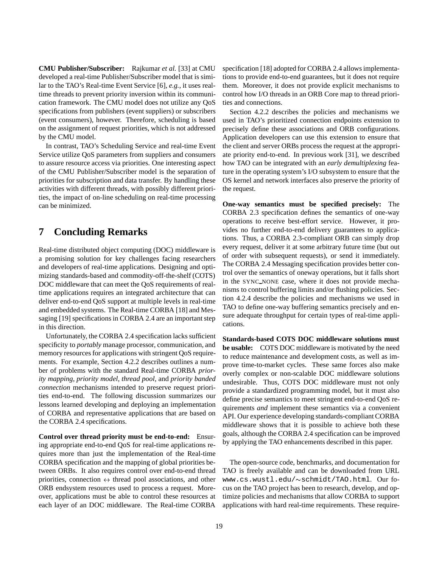**CMU Publisher/Subscriber:** Rajkumar *et al.* [33] at CMU developed a real-time Publisher/Subscriber model that is similar to the TAO's Real-time Event Service [6], *e.g.*, it uses realtime threads to prevent priority inversion within its communication framework. The CMU model does not utilize any QoS specifications from publishers (event suppliers) or subscribers (event consumers), however. Therefore, scheduling is based on the assignment of request priorities, which is not addressed by the CMU model.

In contrast, TAO's Scheduling Service and real-time Event Service utilize QoS parameters from suppliers and consumers to assure resource access via priorities. One interesting aspect of the CMU Publisher/Subscriber model is the separation of priorities for subscription and data transfer. By handling these activities with different threads, with possibly different priorities, the impact of on-line scheduling on real-time processing can be minimized.

## **7 Concluding Remarks**

Real-time distributed object computing (DOC) middleware is a promising solution for key challenges facing researchers and developers of real-time applications. Designing and optimizing standards-based and commodity-off-the-shelf (COTS) DOC middleware that can meet the QoS requirements of realtime applications requires an integrated architecture that can deliver end-to-end QoS support at multiple levels in real-time and embedded systems. The Real-time CORBA [18] and Messaging [19] specifications in CORBA 2.4 are an important step in this direction.

Unfortunately, the CORBA 2.4 specification lacks sufficient specificity to *portably* manage processor, communication, and memory resources for applications with stringent QoS requirements. For example, Section 4.2.2 describes outlines a number of problems with the standard Real-time CORBA *priority mapping*, *priority model*, *thread pool*, and *priority banded connection* mechanisms intended to preserve request priorities end-to-end. The following discussion summarizes our lessons learned developing and deploying an implementation of CORBA and representative applications that are based on the CORBA 2.4 specifications.

**Control over thread priority must be end-to-end:** Ensuring appropriate end-to-end QoS for real-time applications requires more than just the implementation of the Real-time CORBA specification and the mapping of global priorities between ORBs. It also requires control over end-to-end thread priorities, connection  $\leftrightarrow$  thread pool associations, and other ORB endsystem resources used to process a request. Moreover, applications must be able to control these resources at each layer of an DOC middleware. The Real-time CORBA

specification [18] adopted for CORBA 2.4 allows implementations to provide end-to-end guarantees, but it does not require them. Moreover, it does not provide explicit mechanisms to control how I/O threads in an ORB Core map to thread priorities and connections.

Section 4.2.2 describes the policies and mechanisms we used in TAO's prioritized connection endpoints extension to precisely define these associations and ORB configurations. Application developers can use this extension to ensure that the client and server ORBs process the request at the appropriate priority end-to-end. In previous work [31], we described how TAO can be integrated with an *early demultiplexing* feature in the operating system's I/O subsystem to ensure that the OS kernel and network interfaces also preserve the priority of the request.

**One-way semantics must be specified precisely:** The CORBA 2.3 specification defines the semantics of one-way operations to receive best-effort service. However, it provides no further end-to-end delivery guarantees to applications. Thus, a CORBA 2.3-compliant ORB can simply drop every request, deliver it at some arbitrary future time (but out of order with subsequent requests), or send it immediately. The CORBA 2.4 Messaging specification provides better control over the semantics of oneway operations, but it falls short in the SYNC NONE case, where it does not provide mechanisms to control buffering limits and/or flushing policies. Section 4.2.4 describe the policies and mechanisms we used in TAO to define one-way buffering semantics precisely and ensure adequate throughput for certain types of real-time applications.

**Standards-based COTS DOC middleware solutions must be usable:** COTS DOC middleware is motivated by the need to reduce maintenance and development costs, as well as improve time-to-market cycles. These same forces also make overly complex or non-scalable DOC middleware solutions undesirable. Thus, COTS DOC middleware must not only provide a standardized programming model, but it must also define precise semantics to meet stringent end-to-end QoS requirements *and* implement these semantics via a convenient API. Our experience developing standards-compliant CORBA middleware shows that it is possible to achieve both these goals, although the CORBA 2.4 specification can be improved by applying the TAO enhancements described in this paper.

The open-source code, benchmarks, and documentation for TAO is freely available and can be downloaded from URL www.cs.wustl.edu/~schmidt/TAO.html. Our focus on the TAO project has been to research, develop, and optimize policies and mechanisms that allow CORBA to support applications with hard real-time requirements. These require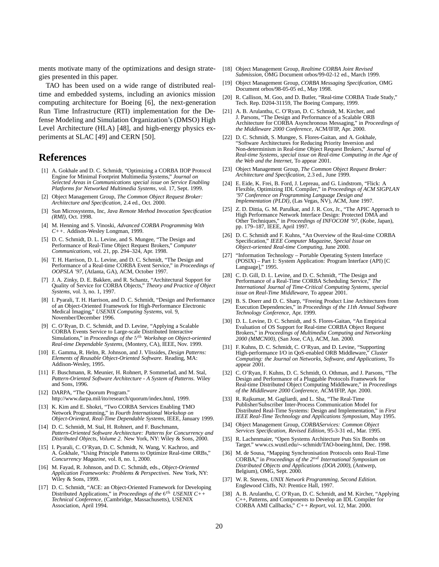ments motivate many of the optimizations and design strategies presented in this paper.

TAO has been used on a wide range of distributed realtime and embedded systems, including an avionics mission computing architecture for Boeing [6], the next-generation Run Time Infrastructure (RTI) implementation for the Defense Modeling and Simulation Organization's (DMSO) High Level Architecture (HLA) [48], and high-energy physics experiments at SLAC [49] and CERN [50].

## **References**

- [1] A. Gokhale and D. C. Schmidt, "Optimizing a CORBA IIOP Protocol Engine for Minimal Footprint Multimedia Systems," *Journal on Selected Areas in Communications special issue on Service Enabling Platforms for Networked Multimedia Systems*, vol. 17, Sept. 1999.
- [2] Object Management Group, *The Common Object Request Broker: Architecture and Specification*, 2.4 ed., Oct. 2000.
- [3] Sun Microsystems, Inc, *Java Remote Method Invocation Specification (RMI)*, Oct. 1998.
- [4] M. Henning and S. Vinoski, *Advanced CORBA Programming With C++*. Addison-Wesley Longman, 1999.
- [5] D. C. Schmidt, D. L. Levine, and S. Mungee, "The Design and Performance of Real-Time Object Request Brokers," *Computer Communications*, vol. 21, pp. 294–324, Apr. 1998.
- [6] T. H. Harrison, D. L. Levine, and D. C. Schmidt, "The Design and Performance of a Real-time CORBA Event Service," in *Proceedings of OOPSLA '97*, (Atlanta, GA), ACM, October 1997.
- [7] J. A. Zinky, D. E. Bakken, and R. Schantz, "Architectural Support for Quality of Service for CORBA Objects," *Theory and Practice of Object Systems*, vol. 3, no. 1, 1997.
- [8] I. Pyarali, T. H. Harrison, and D. C. Schmidt, "Design and Performance of an Object-Oriented Framework for High-Performance Electronic Medical Imaging," *USENIX Computing Systems*, vol. 9, November/December 1996.
- [9] C. O'Ryan, D. C. Schmidt, and D. Levine, "Applying a Scalable CORBA Events Service to Large-scale Distributed Interactive Simulations," in *Proceedings of the*  $5<sup>th</sup>$  *Workshop on Object-oriented Real-time Dependable Systems*, (Montery, CA), IEEE, Nov. 1999.
- [10] E. Gamma, R. Helm, R. Johnson, and J. Vlissides, *Design Patterns: Elements of Reusable Object-Oriented Software*. Reading, MA: Addison-Wesley, 1995.
- [11] F. Buschmann, R. Meunier, H. Rohnert, P. Sommerlad, and M. Stal, *Pattern-Oriented Software Architecture - A System of Patterns*. Wiley and Sons, 1996.
- [12] DARPA, "The Quorum Program." http://www.darpa.mil/ito/research/quorum/index.html, 1999.
- [13] K. Kim and E. Shokri, "Two CORBA Services Enabling TMO Network Programming," in *Fourth International Workshop on Object-Oriented, Real-Time Dependable Systems*, IEEE, January 1999.
- [14] D. C. Schmidt, M. Stal, H. Rohnert, and F. Buschmann, *Pattern-Oriented Software Architecture: Patterns for Concurrency and Distributed Objects, Volume 2*. New York, NY: Wiley & Sons, 2000.
- [15] I. Pyarali, C. O'Ryan, D. C. Schmidt, N. Wang, V. Kachroo, and A. Gokhale, "Using Principle Patterns to Optimize Real-time ORBs," *Concurrency Magazine*, vol. 8, no. 1, 2000.
- [16] M. Fayad, R. Johnson, and D. C. Schmidt, eds., *Object-Oriented Application Frameworks: Problems & Perspectives*. New York, NY: Wiley & Sons, 1999.
- [17] D. C. Schmidt, "ACE: an Object-Oriented Framework for Developing Distributed Applications," in *Proceedings of the* 6<sup>th</sup> *USENIX C++ Technical Conference*, (Cambridge, Massachusetts), USENIX Association, April 1994.
- [18] Object Management Group, *Realtime CORBA Joint Revised Submission*, OMG Document orbos/99-02-12 ed., March 1999.
- [19] Object Management Group, *CORBA Messaging Specification*, OMG Document orbos/98-05-05 ed., May 1998.
- [20] R. Callison, M. Goo, and D. Butler, "Real-time CORBA Trade Study," Tech. Rep. D204-31159, The Boeing Company, 1999.
- [21] A. B. Arulanthu, C. O'Ryan, D. C. Schmidt, M. Kircher, and J. Parsons, "The Design and Performance of a Scalable ORB Architecture for CORBA Asynchronous Messaging," in *Proceedings of the Middleware 2000 Conference*, ACM/IFIP, Apr. 2000.
- [22] D. C. Schmidt, S. Mungee, S. Flores-Gaitan, and A. Gokhale, "Software Architectures for Reducing Priority Inversion and Non-determinism in Real-time Object Request Brokers," *Journal of Real-time Systems, special issue on Real-time Computing in the Age of the Web and the Internet*, To appear 2001.
- [23] Object Management Group, *The Common Object Request Broker: Architecture and Specification*, 2.3 ed., June 1999.
- [24] E. Eide, K. Frei, B. Ford, J. Lepreau, and G. Lindstrom, "Flick: A Flexible, Optimizing IDL Compiler," in *Proceedings of ACM SIGPLAN '97 Conference on Programming Language Design and Implementation (PLDI)*, (Las Vegas, NV), ACM, June 1997.
- [25] Z. D. Dittia, G. M. Parulkar, and J. R. Cox, Jr., "The APIC Approach to High Performance Network Interface Design: Protected DMA and Other Techniques," in *Proceedings of INFOCOM '97*, (Kobe, Japan), pp. 179–187, IEEE, April 1997.
- [26] D. C. Schmidt and F. Kuhns, "An Overview of the Real-time CORBA Specification," *IEEE Computer Magazine, Special Issue on Object-oriented Real-time Computing*, June 2000.
- [27] "Information Technology Portable Operating System Interface (POSIX) – Part 1: System Application: Program Interface (API) [C Language]," 1995.
- [28] C. D. Gill, D. L. Levine, and D. C. Schmidt, "The Design and Performance of a Real-Time CORBA Scheduling Service," *The International Journal of Time-Critical Computing Systems, special issue on Real-Time Middleware*, To appear 2001.
- [29] B. S. Doerr and D. C. Sharp, "Freeing Product Line Architectures from Execution Dependencies," in *Proceedings of the 11th Annual Software Technology Conference*, Apr. 1999.
- [30] D. L. Levine, D. C. Schmidt, and S. Flores-Gaitan, "An Empirical Evaluation of OS Support for Real-time CORBA Object Request Brokers," in *Proceedings of Multimedia Computing and Networking 2000 (MMCN00)*, (San Jose, CA), ACM, Jan. 2000.
- [31] F. Kuhns, D. C. Schmidt, C. O'Ryan, and D. Levine, "Supporting High-performance I/O in QoS-enabled ORB Middleware," *Cluster Computing: the Journal on Networks, Software, and Applications*, To appear 2001.
- [32] C. O'Ryan, F. Kuhns, D. C. Schmidt, O. Othman, and J. Parsons, "The Design and Performance of a Pluggable Protocols Framework for Real-time Distributed Object Computing Middleware," in *Proceedings of the Middleware 2000 Conference*, ACM/IFIP, Apr. 2000.
- [33] R. Rajkumar, M. Gagliardi, and L. Sha, "The Real-Time Publisher/Subscriber Inter-Process Communication Model for Distributed Real-Time Systems: Design and Implementation," in *First IEEE Real-Time Technology and Applications Symposium*, May 1995.
- [34] Object Management Group, *CORBAServices: Common Object Services Specification, Revised Edition*, 95-3-31 ed., Mar. 1995.
- [35] R. Lachenmaier, "Open Systems Architecture Puts Six Bombs on Target." www.cs.wustl.edu/~schmidt/TAO-boeing.html, Dec. 1998.
- [36] M. de Sousa, "Mapping Synchronisation Protocols onto Real-Time CORBA," in *Proceedings of the 2*nd *International Symposium on Distributed Objects and Applications (DOA 2000)*, (Antwerp, Belgium), OMG, Sept. 2000.
- [37] W. R. Stevens, *UNIX Network Programming, Second Edition*. Englewood Cliffs, NJ: Prentice Hall, 1997.
- [38] A. B. Arulanthu, C. O'Ryan, D. C. Schmidt, and M. Kircher, "Applying C++, Patterns, and Components to Develop an IDL Compiler for CORBA AMI Callbacks," *C++ Report*, vol. 12, Mar. 2000.